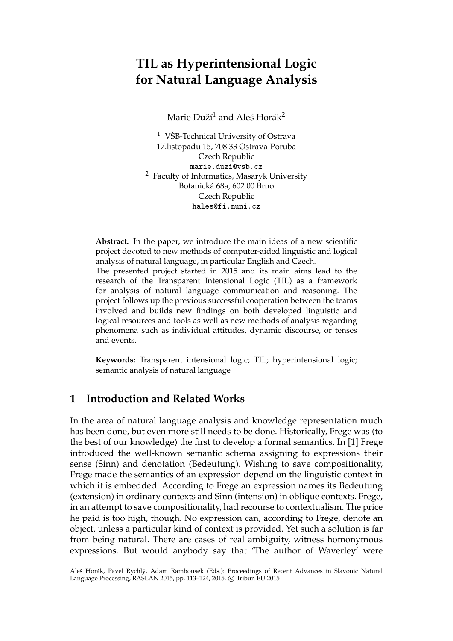# **TIL as Hyperintensional Logic for Natural Language Analysis**

Marie Duží<sup>1</sup> and Aleš Horák<sup>2</sup>

<sup>1</sup> VŠB-Technical University of Ostrava 17.listopadu 15, 708 33 Ostrava-Poruba Czech Republic marie.duzi@vsb.cz <sup>2</sup> Faculty of Informatics, Masaryk University Botanická 68a, 602 00 Brno Czech Republic hales@fi.muni.cz

**Abstract.** In the paper, we introduce the main ideas of a new scientific project devoted to new methods of computer-aided linguistic and logical analysis of natural language, in particular English and Czech. The presented project started in 2015 and its main aims lead to the research of the Transparent Intensional Logic (TIL) as a framework

for analysis of natural language communication and reasoning. The project follows up the previous successful cooperation between the teams involved and builds new findings on both developed linguistic and logical resources and tools as well as new methods of analysis regarding phenomena such as individual attitudes, dynamic discourse, or tenses and events.

**Keywords:** Transparent intensional logic; TIL; hyperintensional logic; semantic analysis of natural language

# **1 Introduction and Related Works**

In the area of natural language analysis and knowledge representation much has been done, but even more still needs to be done. Historically, Frege was (to the best of our knowledge) the first to develop a formal semantics. In [1] Frege introduced the well-known semantic schema assigning to expressions their sense (Sinn) and denotation (Bedeutung). Wishing to save compositionality, Frege made the semantics of an expression depend on the linguistic context in which it is embedded. According to Frege an expression names its Bedeutung (extension) in ordinary contexts and Sinn (intension) in oblique contexts. Frege, in an attempt to save compositionality, had recourse to contextualism. The price he paid is too high, though. No expression can, according to Frege, denote an object, unless a particular kind of context is provided. Yet such a solution is far from being natural. There are cases of real ambiguity, witness homonymous expressions. But would anybody say that 'The author of Waverley' were

Aleš Horák, Pavel Rychlý, Adam Rambousek (Eds.): Proceedings of Recent Advances in Slavonic Natural Language Processing, RASLAN 2015, pp. 113-124, 2015. © Tribun EU 2015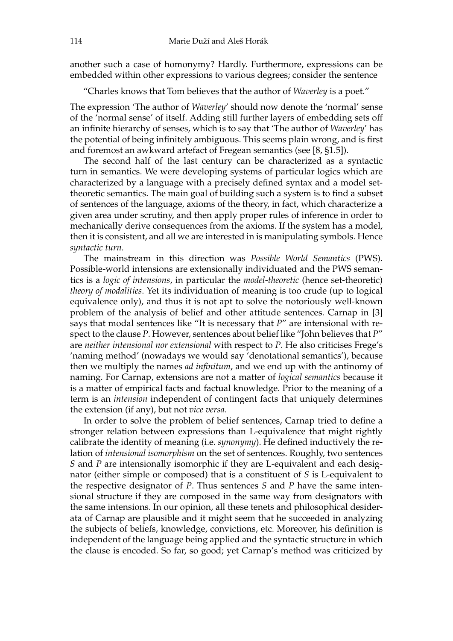another such a case of homonymy? Hardly. Furthermore, expressions can be embedded within other expressions to various degrees; consider the sentence

"Charles knows that Tom believes that the author of *Waverley* is a poet."

The expression 'The author of *Waverley*' should now denote the 'normal' sense of the 'normal sense' of itself. Adding still further layers of embedding sets off an infinite hierarchy of senses, which is to say that 'The author of *Waverley*' has the potential of being infinitely ambiguous. This seems plain wrong, and is first and foremost an awkward artefact of Fregean semantics (see [8, §1.5]).

The second half of the last century can be characterized as a syntactic turn in semantics. We were developing systems of particular logics which are characterized by a language with a precisely defined syntax and a model settheoretic semantics. The main goal of building such a system is to find a subset of sentences of the language, axioms of the theory, in fact, which characterize a given area under scrutiny, and then apply proper rules of inference in order to mechanically derive consequences from the axioms. If the system has a model, then it is consistent, and all we are interested in is manipulating symbols. Hence *syntactic turn.*

The mainstream in this direction was *Possible World Semantics* (PWS). Possible-world intensions are extensionally individuated and the PWS semantics is a *logic of intensions*, in particular the *model-theoretic* (hence set-theoretic) *theory of modalities*. Yet its individuation of meaning is too crude (up to logical equivalence only), and thus it is not apt to solve the notoriously well-known problem of the analysis of belief and other attitude sentences. Carnap in [3] says that modal sentences like "It is necessary that *P*" are intensional with respect to the clause *P*. However, sentences about belief like "John believes that *P*" are *neither intensional nor extensional* with respect to *P*. He also criticises Frege's 'naming method' (nowadays we would say 'denotational semantics'), because then we multiply the names *ad infinitum*, and we end up with the antinomy of naming. For Carnap, extensions are not a matter of *logical semantics* because it is a matter of empirical facts and factual knowledge. Prior to the meaning of a term is an *intension* independent of contingent facts that uniquely determines the extension (if any), but not *vice versa*.

In order to solve the problem of belief sentences, Carnap tried to define a stronger relation between expressions than L-equivalence that might rightly calibrate the identity of meaning (i.e. *synonymy*). He defined inductively the relation of *intensional isomorphism* on the set of sentences. Roughly, two sentences *S* and *P* are intensionally isomorphic if they are L-equivalent and each designator (either simple or composed) that is a constituent of *S* is L-equivalent to the respective designator of *P*. Thus sentences *S* and *P* have the same intensional structure if they are composed in the same way from designators with the same intensions. In our opinion, all these tenets and philosophical desiderata of Carnap are plausible and it might seem that he succeeded in analyzing the subjects of beliefs, knowledge, convictions, etc. Moreover, his definition is independent of the language being applied and the syntactic structure in which the clause is encoded. So far, so good; yet Carnap's method was criticized by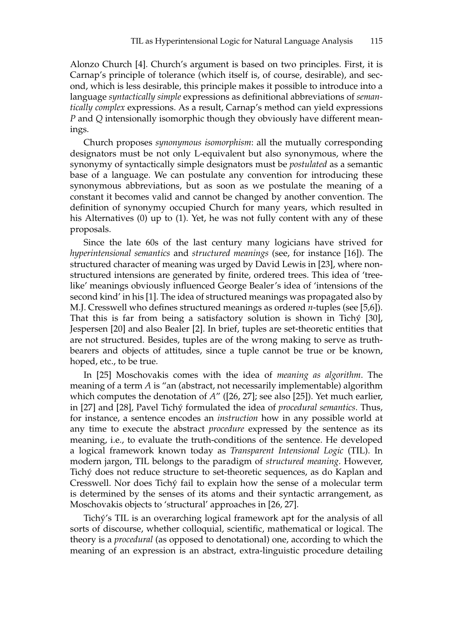Alonzo Church [4]. Church's argument is based on two principles. First, it is Carnap's principle of tolerance (which itself is, of course, desirable), and second, which is less desirable, this principle makes it possible to introduce into a language *syntactically simple* expressions as definitional abbreviations of *semantically complex* expressions. As a result, Carnap's method can yield expressions *P* and *Q* intensionally isomorphic though they obviously have different meanings.

Church proposes *synonymous isomorphism*: all the mutually corresponding designators must be not only L-equivalent but also synonymous, where the synonymy of syntactically simple designators must be *postulated* as a semantic base of a language. We can postulate any convention for introducing these synonymous abbreviations, but as soon as we postulate the meaning of a constant it becomes valid and cannot be changed by another convention. The definition of synonymy occupied Church for many years, which resulted in his Alternatives (0) up to (1). Yet, he was not fully content with any of these proposals.

Since the late 60s of the last century many logicians have strived for *hyperintensional semantics* and *structured meanings* (see, for instance [16]). The structured character of meaning was urged by David Lewis in [23], where nonstructured intensions are generated by finite, ordered trees. This idea of 'treelike' meanings obviously influenced George Bealer's idea of 'intensions of the second kind' in his [1]. The idea of structured meanings was propagated also by M.J. Cresswell who defines structured meanings as ordered *n*-tuples (see [5,6]). That this is far from being a satisfactory solution is shown in Tichý [30], Jespersen [20] and also Bealer [2]. In brief, tuples are set-theoretic entities that are not structured. Besides, tuples are of the wrong making to serve as truthbearers and objects of attitudes, since a tuple cannot be true or be known, hoped, etc., to be true.

In [25] Moschovakis comes with the idea of *meaning as algorithm*. The meaning of a term *A* is "an (abstract, not necessarily implementable) algorithm which computes the denotation of *A*" ([26, 27]; see also [25]). Yet much earlier, in [27] and [28], Pavel Tichý formulated the idea of *procedural semantics*. Thus, for instance, a sentence encodes an *instruction* how in any possible world at any time to execute the abstract *procedure* expressed by the sentence as its meaning, i.e., to evaluate the truth-conditions of the sentence. He developed a logical framework known today as *Transparent Intensional Logic* (TIL). In modern jargon, TIL belongs to the paradigm of *structured meaning*. However, Tichý does not reduce structure to set-theoretic sequences, as do Kaplan and Cresswell. Nor does Tichý fail to explain how the sense of a molecular term is determined by the senses of its atoms and their syntactic arrangement, as Moschovakis objects to 'structural' approaches in [26, 27].

Tichý's TIL is an overarching logical framework apt for the analysis of all sorts of discourse, whether colloquial, scientific, mathematical or logical. The theory is a *procedural* (as opposed to denotational) one, according to which the meaning of an expression is an abstract, extra-linguistic procedure detailing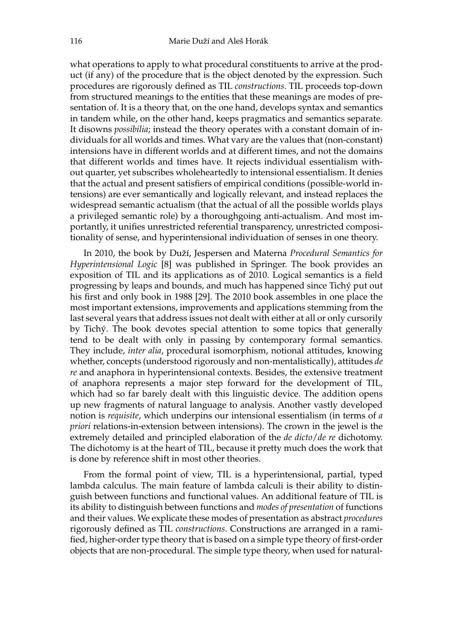what operations to apply to what procedural constituents to arrive at the product (if any) of the procedure that is the object denoted by the expression. Such procedures are rigorously defined as TIL *constructions*. TIL proceeds top-down from structured meanings to the entities that these meanings are modes of presentation of. It is a theory that, on the one hand, develops syntax and semantics in tandem while, on the other hand, keeps pragmatics and semantics separate. It disowns *possibilia*; instead the theory operates with a constant domain of individuals for all worlds and times. What vary are the values that (non-constant) intensions have in different worlds and at different times, and not the domains that different worlds and times have. It rejects individual essentialism without quarter, yet subscribes wholeheartedly to intensional essentialism. It denies that the actual and present satisfiers of empirical conditions (possible-world intensions) are ever semantically and logically relevant, and instead replaces the widespread semantic actualism (that the actual of all the possible worlds plays a privileged semantic role) by a thoroughgoing anti-actualism. And most importantly, it unifies unrestricted referential transparency, unrestricted compositionality of sense, and hyperintensional individuation of senses in one theory.

In 2010, the book by Duží, Jespersen and Materna *Procedural Semantics for Hyperintensional Logic* [8] was published in Springer. The book provides an exposition of TIL and its applications as of 2010. Logical semantics is a field progressing by leaps and bounds, and much has happened since Tichý put out his first and only book in 1988 [29]. The 2010 book assembles in one place the most important extensions, improvements and applications stemming from the last several years that address issues not dealt with either at all or only cursorily by Tichý. The book devotes special attention to some topics that generally tend to be dealt with only in passing by contemporary formal semantics. They include, *inter alia*, procedural isomorphism, notional attitudes, knowing whether, concepts (understood rigorously and non-mentalistically), attitudes *de re* and anaphora in hyperintensional contexts. Besides, the extensive treatment of anaphora represents a major step forward for the development of TIL, which had so far barely dealt with this linguistic device. The addition opens up new fragments of natural language to analysis. Another vastly developed notion is *requisite*, which underpins our intensional essentialism (in terms of *a priori* relations-in-extension between intensions). The crown in the jewel is the extremely detailed and principled elaboration of the *de dicto*/*de re* dichotomy. The dichotomy is at the heart of TIL, because it pretty much does the work that is done by reference shift in most other theories.

From the formal point of view, TIL is a hyperintensional, partial, typed lambda calculus. The main feature of lambda calculi is their ability to distinguish between functions and functional values. An additional feature of TIL is its ability to distinguish between functions and *modes of presentation* of functions and their values. We explicate these modes of presentation as abstract *procedures* rigorously defined as TIL *constructions*. Constructions are arranged in a ramified, higher-order type theory that is based on a simple type theory of first-order objects that are non-procedural. The simple type theory, when used for natural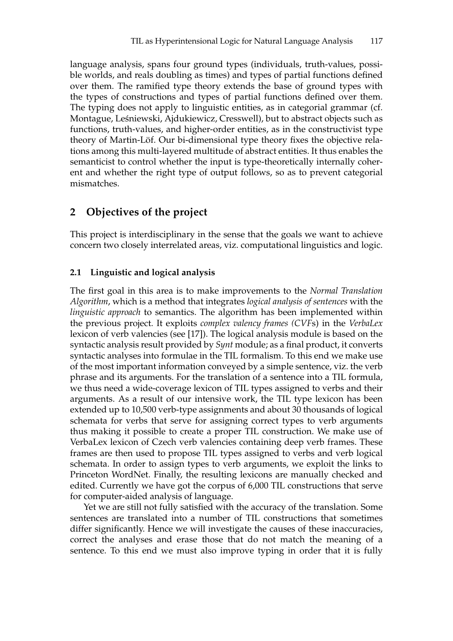language analysis, spans four ground types (individuals, truth-values, possible worlds, and reals doubling as times) and types of partial functions defined over them. The ramified type theory extends the base of ground types with the types of constructions and types of partial functions defined over them. The typing does not apply to linguistic entities, as in categorial grammar (cf. Montague, Leśniewski, Ajdukiewicz, Cresswell), but to abstract objects such as functions, truth-values, and higher-order entities, as in the constructivist type theory of Martin-Löf. Our bi-dimensional type theory fixes the objective relations among this multi-layered multitude of abstract entities. It thus enables the semanticist to control whether the input is type-theoretically internally coherent and whether the right type of output follows, so as to prevent categorial mismatches.

# **2 Objectives of the project**

This project is interdisciplinary in the sense that the goals we want to achieve concern two closely interrelated areas, viz. computational linguistics and logic.

#### **2.1 Linguistic and logical analysis**

The first goal in this area is to make improvements to the *Normal Translation Algorithm*, which is a method that integrates *logical analysis of sentences* with the *linguistic approach* to semantics. The algorithm has been implemented within the previous project. It exploits *complex valency frames (CVF*s) in the *VerbaLex* lexicon of verb valencies (see [17]). The logical analysis module is based on the syntactic analysis result provided by *Synt* module; as a final product, it converts syntactic analyses into formulae in the TIL formalism. To this end we make use of the most important information conveyed by a simple sentence, viz. the verb phrase and its arguments. For the translation of a sentence into a TIL formula, we thus need a wide-coverage lexicon of TIL types assigned to verbs and their arguments. As a result of our intensive work, the TIL type lexicon has been extended up to 10,500 verb-type assignments and about 30 thousands of logical schemata for verbs that serve for assigning correct types to verb arguments thus making it possible to create a proper TIL construction. We make use of VerbaLex lexicon of Czech verb valencies containing deep verb frames. These frames are then used to propose TIL types assigned to verbs and verb logical schemata. In order to assign types to verb arguments, we exploit the links to Princeton WordNet. Finally, the resulting lexicons are manually checked and edited. Currently we have got the corpus of 6,000 TIL constructions that serve for computer-aided analysis of language.

Yet we are still not fully satisfied with the accuracy of the translation. Some sentences are translated into a number of TIL constructions that sometimes differ significantly. Hence we will investigate the causes of these inaccuracies, correct the analyses and erase those that do not match the meaning of a sentence. To this end we must also improve typing in order that it is fully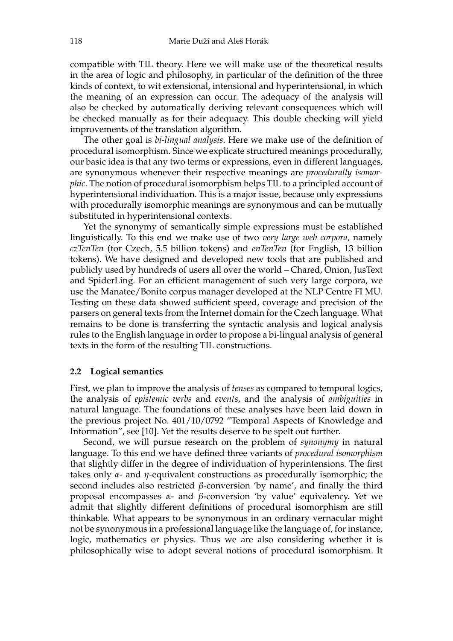compatible with TIL theory. Here we will make use of the theoretical results in the area of logic and philosophy, in particular of the definition of the three kinds of context, to wit extensional, intensional and hyperintensional, in which the meaning of an expression can occur. The adequacy of the analysis will also be checked by automatically deriving relevant consequences which will be checked manually as for their adequacy. This double checking will yield improvements of the translation algorithm.

The other goal is *bi-lingual analysis*. Here we make use of the definition of procedural isomorphism. Since we explicate structured meanings procedurally, our basic idea is that any two terms or expressions, even in different languages, are synonymous whenever their respective meanings are *procedurally isomorphic*. The notion of procedural isomorphism helps TIL to a principled account of hyperintensional individuation. This is a major issue, because only expressions with procedurally isomorphic meanings are synonymous and can be mutually substituted in hyperintensional contexts.

Yet the synonymy of semantically simple expressions must be established linguistically. To this end we make use of two *very large web corpora*, namely *czTenTen* (for Czech, 5.5 billion tokens) and *enTenTen* (for English, 13 billion tokens). We have designed and developed new tools that are published and publicly used by hundreds of users all over the world – Chared, Onion, JusText and SpiderLing. For an efficient management of such very large corpora, we use the Manatee/Bonito corpus manager developed at the NLP Centre FI MU. Testing on these data showed sufficient speed, coverage and precision of the parsers on general texts from the Internet domain for the Czech language. What remains to be done is transferring the syntactic analysis and logical analysis rules to the English language in order to propose a bi-lingual analysis of general texts in the form of the resulting TIL constructions.

#### **2.2 Logical semantics**

First, we plan to improve the analysis of *tenses* as compared to temporal logics, the analysis of *epistemic verbs* and *events*, and the analysis of *ambiguities* in natural language. The foundations of these analyses have been laid down in the previous project No. 401/10/0792 "Temporal Aspects of Knowledge and Information", see [10]. Yet the results deserve to be spelt out further.

Second, we will pursue research on the problem of *synonymy* in natural language. To this end we have defined three variants of *procedural isomorphism* that slightly differ in the degree of individuation of hyperintensions. The first takes only *α*- and *η*-equivalent constructions as procedurally isomorphic; the second includes also restricted *β*-conversion 'by name', and finally the third proposal encompasses *α*- and *β*-conversion 'by value' equivalency. Yet we admit that slightly different definitions of procedural isomorphism are still thinkable. What appears to be synonymous in an ordinary vernacular might not be synonymous in a professional language like the language of, for instance, logic, mathematics or physics. Thus we are also considering whether it is philosophically wise to adopt several notions of procedural isomorphism. It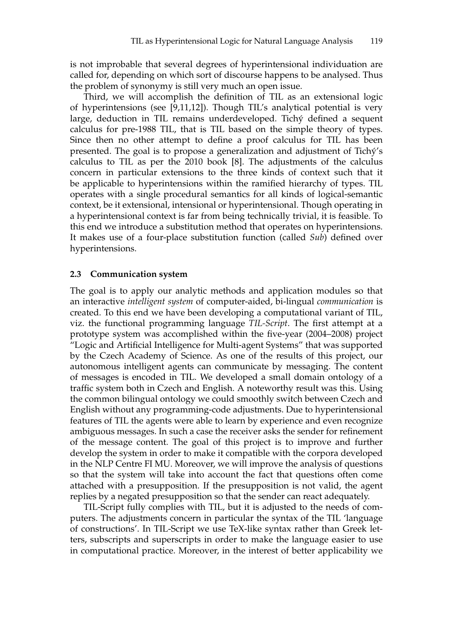is not improbable that several degrees of hyperintensional individuation are called for, depending on which sort of discourse happens to be analysed. Thus the problem of synonymy is still very much an open issue.

Third, we will accomplish the definition of TIL as an extensional logic of hyperintensions (see [9,11,12]). Though TIL's analytical potential is very large, deduction in TIL remains underdeveloped. Tichý defined a sequent calculus for pre-1988 TIL, that is TIL based on the simple theory of types. Since then no other attempt to define a proof calculus for TIL has been presented. The goal is to propose a generalization and adjustment of Tichý's calculus to TIL as per the 2010 book [8]. The adjustments of the calculus concern in particular extensions to the three kinds of context such that it be applicable to hyperintensions within the ramified hierarchy of types. TIL operates with a single procedural semantics for all kinds of logical-semantic context, be it extensional, intensional or hyperintensional. Though operating in a hyperintensional context is far from being technically trivial, it is feasible. To this end we introduce a substitution method that operates on hyperintensions. It makes use of a four-place substitution function (called *Sub*) defined over hyperintensions.

#### **2.3 Communication system**

The goal is to apply our analytic methods and application modules so that an interactive *intelligent system* of computer-aided, bi-lingual *communication* is created. To this end we have been developing a computational variant of TIL, viz. the functional programming language *TIL-Script*. The first attempt at a prototype system was accomplished within the five-year (2004–2008) project "Logic and Artificial Intelligence for Multi-agent Systems" that was supported by the Czech Academy of Science. As one of the results of this project, our autonomous intelligent agents can communicate by messaging. The content of messages is encoded in TIL. We developed a small domain ontology of a traffic system both in Czech and English. A noteworthy result was this. Using the common bilingual ontology we could smoothly switch between Czech and English without any programming-code adjustments. Due to hyperintensional features of TIL the agents were able to learn by experience and even recognize ambiguous messages. In such a case the receiver asks the sender for refinement of the message content. The goal of this project is to improve and further develop the system in order to make it compatible with the corpora developed in the NLP Centre FI MU. Moreover, we will improve the analysis of questions so that the system will take into account the fact that questions often come attached with a presupposition. If the presupposition is not valid, the agent replies by a negated presupposition so that the sender can react adequately.

TIL-Script fully complies with TIL, but it is adjusted to the needs of computers. The adjustments concern in particular the syntax of the TIL 'language of constructions'. In TIL-Script we use TeX-like syntax rather than Greek letters, subscripts and superscripts in order to make the language easier to use in computational practice. Moreover, in the interest of better applicability we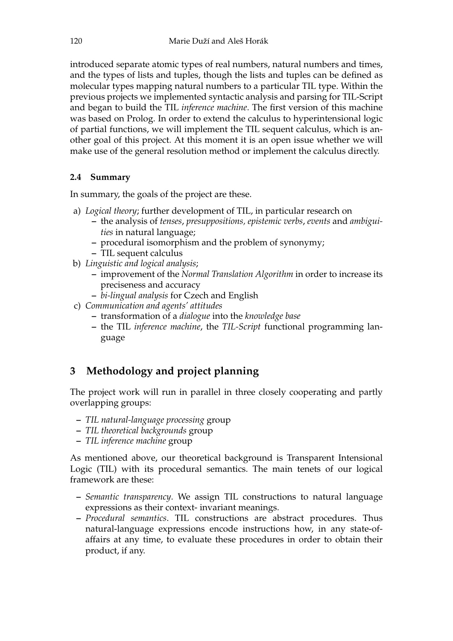introduced separate atomic types of real numbers, natural numbers and times, and the types of lists and tuples, though the lists and tuples can be defined as molecular types mapping natural numbers to a particular TIL type. Within the previous projects we implemented syntactic analysis and parsing for TIL-Script and began to build the TIL *inference machine*. The first version of this machine was based on Prolog. In order to extend the calculus to hyperintensional logic of partial functions, we will implement the TIL sequent calculus, which is another goal of this project. At this moment it is an open issue whether we will make use of the general resolution method or implement the calculus directly.

### **2.4 Summary**

In summary, the goals of the project are these.

- a) *Logical theory*; further development of TIL, in particular research on
	- **–** the analysis of *tenses*, *presuppositions, epistemic verbs*, *events* and *ambiguities* in natural language;
	- **–** procedural isomorphism and the problem of synonymy;
	- **–** TIL sequent calculus
- b) *Linguistic and logical analysis*;
	- **–** improvement of the *Normal Translation Algorithm* in order to increase its preciseness and accuracy
	- **–** *bi-lingual analysis* for Czech and English
- c) *Communication and agents' attitudes*
	- **–** transformation of a *dialogue* into the *knowledge base*
	- **–** the TIL *inference machine*, the *TIL-Script* functional programming language

# **3 Methodology and project planning**

The project work will run in parallel in three closely cooperating and partly overlapping groups:

- **–** *TIL natural-language processing* group
- **–** *TIL theoretical backgrounds* group
- **–** *TIL inference machine* group

As mentioned above, our theoretical background is Transparent Intensional Logic (TIL) with its procedural semantics. The main tenets of our logical framework are these:

- **–** *Semantic transparency*. We assign TIL constructions to natural language expressions as their context- invariant meanings.
- **–** *Procedural semantics*. TIL constructions are abstract procedures. Thus natural-language expressions encode instructions how, in any state-ofaffairs at any time, to evaluate these procedures in order to obtain their product, if any.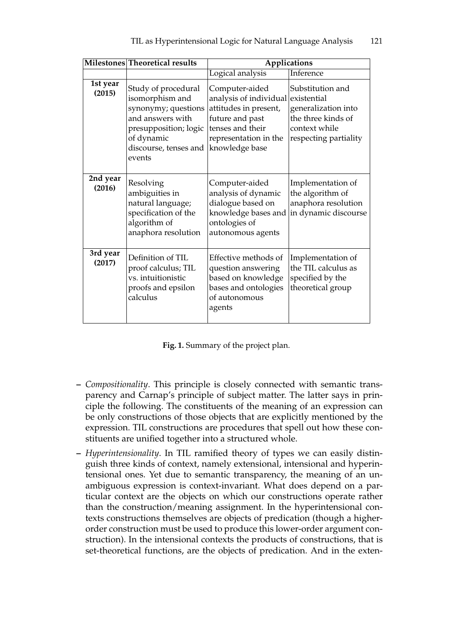|                    | Milestones Theoretical results                                                                                                                              | Applications                                                                                                                                                    |                                                                                                         |  |  |
|--------------------|-------------------------------------------------------------------------------------------------------------------------------------------------------------|-----------------------------------------------------------------------------------------------------------------------------------------------------------------|---------------------------------------------------------------------------------------------------------|--|--|
|                    |                                                                                                                                                             | Logical analysis                                                                                                                                                | <b>Inference</b>                                                                                        |  |  |
| 1st year<br>(2015) | Study of procedural<br>isomorphism and<br>synonymy; questions<br>and answers with<br>presupposition; logic<br>of dynamic<br>discourse, tenses and<br>events | Computer-aided<br>analysis of individual existential<br>attitudes in present,<br>future and past<br>tenses and their<br>representation in the<br>knowledge base | Substitution and<br>generalization into<br>the three kinds of<br>context while<br>respecting partiality |  |  |
| 2nd year<br>(2016) | Resolving<br>ambiguities in<br>natural language;<br>specification of the<br>algorithm of<br>anaphora resolution                                             | Computer-aided<br>analysis of dynamic<br>dialogue based on<br>knowledge bases and<br>ontologies of<br>autonomous agents                                         | Implementation of<br>the algorithm of<br>anaphora resolution<br>in dynamic discourse                    |  |  |
| 3rd year<br>(2017) | Definition of TIL<br>proof calculus; TIL<br>vs. intuitionistic<br>proofs and epsilon<br>calculus                                                            | Effective methods of<br>question answering<br>based on knowledge<br>bases and ontologies<br>of autonomous<br>agents                                             | Implementation of<br>the TIL calculus as<br>specified by the<br>theoretical group                       |  |  |

|  | Fig. 1. Summary of the project plan. |  |  |  |
|--|--------------------------------------|--|--|--|
|  |                                      |  |  |  |

- **–** *Compositionality*. This principle is closely connected with semantic transparency and Carnap's principle of subject matter. The latter says in principle the following. The constituents of the meaning of an expression can be only constructions of those objects that are explicitly mentioned by the expression. TIL constructions are procedures that spell out how these constituents are unified together into a structured whole.
- **–** *Hyperintensionality*. In TIL ramified theory of types we can easily distinguish three kinds of context, namely extensional, intensional and hyperintensional ones. Yet due to semantic transparency, the meaning of an unambiguous expression is context-invariant. What does depend on a particular context are the objects on which our constructions operate rather than the construction/meaning assignment. In the hyperintensional contexts constructions themselves are objects of predication (though a higherorder construction must be used to produce this lower-order argument construction). In the intensional contexts the products of constructions, that is set-theoretical functions, are the objects of predication. And in the exten-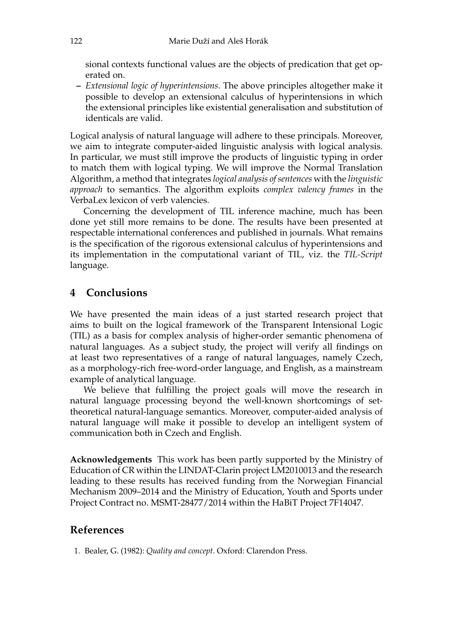sional contexts functional values are the objects of predication that get operated on.

**–** *Extensional logic of hyperintensions*. The above principles altogether make it possible to develop an extensional calculus of hyperintensions in which the extensional principles like existential generalisation and substitution of identicals are valid.

Logical analysis of natural language will adhere to these principals. Moreover, we aim to integrate computer-aided linguistic analysis with logical analysis. In particular, we must still improve the products of linguistic typing in order to match them with logical typing. We will improve the Normal Translation Algorithm, a method that integrates *logical analysis of sentences* with the *linguistic approach* to semantics. The algorithm exploits *complex valency frames* in the VerbaLex lexicon of verb valencies.

Concerning the development of TIL inference machine, much has been done yet still more remains to be done. The results have been presented at respectable international conferences and published in journals. What remains is the specification of the rigorous extensional calculus of hyperintensions and its implementation in the computational variant of TIL, viz. the *TIL-Script* language.

# **4 Conclusions**

We have presented the main ideas of a just started research project that aims to built on the logical framework of the Transparent Intensional Logic (TIL) as a basis for complex analysis of higher-order semantic phenomena of natural languages. As a subject study, the project will verify all findings on at least two representatives of a range of natural languages, namely Czech, as a morphology-rich free-word-order language, and English, as a mainstream example of analytical language.

We believe that fulfilling the project goals will move the research in natural language processing beyond the well-known shortcomings of settheoretical natural-language semantics. Moreover, computer-aided analysis of natural language will make it possible to develop an intelligent system of communication both in Czech and English.

**Acknowledgements** This work has been partly supported by the Ministry of Education of CR within the LINDAT-Clarin project LM2010013 and the research leading to these results has received funding from the Norwegian Financial Mechanism 2009–2014 and the Ministry of Education, Youth and Sports under Project Contract no. MSMT-28477/2014 within the HaBiT Project 7F14047.

### **References**

1. Bealer, G. (1982): *Quality and concept*. Oxford: Clarendon Press.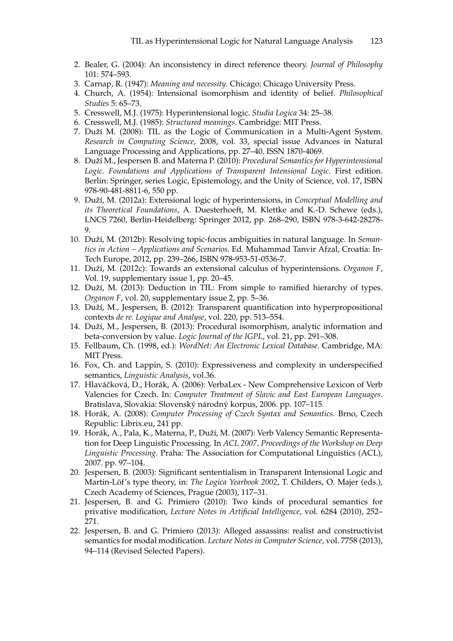- 2. Bealer, G. (2004): An inconsistency in direct reference theory. *Journal of Philosophy* 101: 574–593.
- 3. Carnap, R. (1947): *Meaning and necessity*. Chicago: Chicago University Press.
- 4. Church, A. (1954): Intensional isomorphism and identity of belief. *Philosophical Studies* 5: 65–73.
- 5. Cresswell, M.J. (1975): Hyperintensional logic. *Studia Logica* 34: 25–38.
- 6. Cresswell, M.J. (1985): *Structured meanings*. Cambridge: MIT Press.
- 7. Duží M. (2008): TIL as the Logic of Communication in a Multi-Agent System. *Research in Computing Science*, 2008, vol. 33, special issue Advances in Natural Language Processing and Applications, pp. 27–40. ISSN 1870-4069.
- 8. Duží M., Jespersen B. and Materna P. (2010): *Procedural Semantics for Hyperintensional Logic. Foundations and Applications of Transparent Intensional Logic*. First edition. Berlin: Springer, series Logic, Epistemology, and the Unity of Science, vol. 17, ISBN 978-90-481-8811-6, 550 pp.
- 9. Duží, M. (2012a): Extensional logic of hyperintensions, in *Conceptual Modelling and its Theoretical Foundations*, A. Duesterhoeft, M. Klettke and K.-D. Schewe (eds.), LNCS 7260, Berlin-Heidelberg: Springer 2012, pp. 268–290, ISBN 978-3-642-28278- 9.
- 10. Duží, M. (2012b): Resolving topic-focus ambiguities in natural language. In *Semantics in Action – Applications and Scenarios*. Ed. Muhammad Tanvir Afzal, Croatia: In-Tech Europe, 2012, pp. 239–266, ISBN 978-953-51-0536-7.
- 11. Duží, M. (2012c): Towards an extensional calculus of hyperintensions. *Organon F*, Vol. 19, supplementary issue 1, pp. 20–45.
- 12. Duží, M. (2013): Deduction in TIL: From simple to ramified hierarchy of types. *Organon F*, vol. 20, supplementary issue 2, pp. 5–36.
- 13. Duží, M., Jespersen, B. (2012): Transparent quantification into hyperpropositional contexts *de re. Logique and Analyse*, vol. 220, pp. 513–554.
- 14. Duží, M., Jespersen, B. (2013): Procedural isomorphism, analytic information and beta-conversion by value. *Logic Journal of the IGPL*, vol. 21, pp. 291–308.
- 15. Fellbaum, Ch. (1998, ed.): *WordNet: An Electronic Lexical Database*. Cambridge, MA: MIT Press.
- 16. Fox, Ch. and Lappin, S. (2010): Expressiveness and complexity in underspecified semantics, *Linguistic Analysis*, vol.36.
- 17. Hlaváčková, D., Horák, A. (2006): VerbaLex New Comprehensive Lexicon of Verb Valencies for Czech. In: *Computer Treatment of Slavic and East European Languages*. Bratislava, Slovakia: Slovenský národný korpus, 2006. pp. 107–115.
- 18. Horák, A. (2008): *Computer Processing of Czech Syntax and Semantics*. Brno, Czech Republic: Librix.eu, 241 pp.
- 19. Horák, A., Pala, K., Materna, P., Duží, M. (2007): Verb Valency Semantic Representation for Deep Linguistic Processing. In *ACL 2007, Proceedings of the Workshop on Deep Linguistic Processing*. Praha: The Association for Computational Linguistics (ACL), 2007. pp. 97–104.
- 20. Jespersen, B. (2003): Significant sententialism in Transparent Intensional Logic and Martin-Löf's type theory, in: *The Logica Yearbook 2002*, T. Childers, O. Majer (eds.), Czech Academy of Sciences, Prague (2003), 117–31.
- 21. Jespersen, B. and G. Primiero (2010): Two kinds of procedural semantics for privative modification, *Lecture Notes in Artificial Intelligence*, vol. 6284 (2010), 252– 271.
- 22. Jespersen, B. and G. Primiero (2013): Alleged assassins: realist and constructivist semantics for modal modification. *Lecture Notes in Computer Science*, vol. 7758 (2013), 94–114 (Revised Selected Papers).